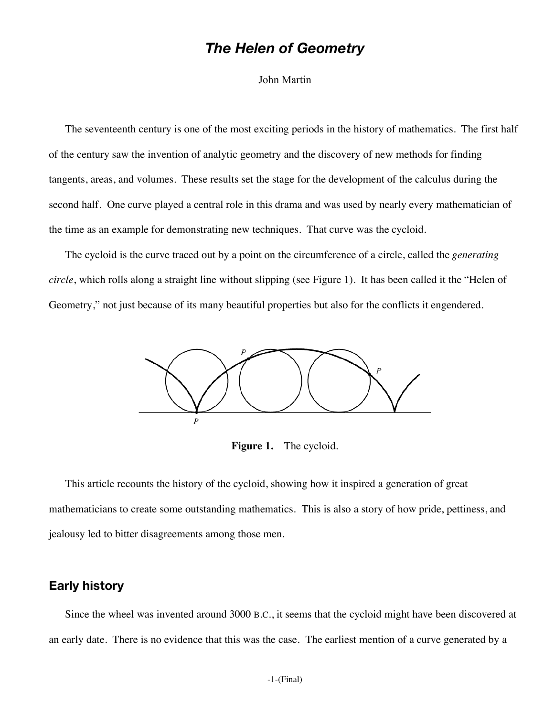# *The Helen of Geometry*

John Martin

The seventeenth century is one of the most exciting periods in the history of mathematics. The first half of the century saw the invention of analytic geometry and the discovery of new methods for finding tangents, areas, and volumes. These results set the stage for the development of the calculus during the second half. One curve played a central role in this drama and was used by nearly every mathematician of the time as an example for demonstrating new techniques. That curve was the cycloid.

The cycloid is the curve traced out by a point on the circumference of a circle, called the *generating circle*, which rolls along a straight line without slipping (see Figure 1). It has been called it the "Helen of Geometry," not just because of its many beautiful properties but also for the conflicts it engendered.



**Figure 1.** The cycloid.

This article recounts the history of the cycloid, showing how it inspired a generation of great mathematicians to create some outstanding mathematics. This is also a story of how pride, pettiness, and jealousy led to bitter disagreements among those men.

# **Early history**

Since the wheel was invented around 3000 B.C., it seems that the cycloid might have been discovered at an early date. There is no evidence that this was the case. The earliest mention of a curve generated by a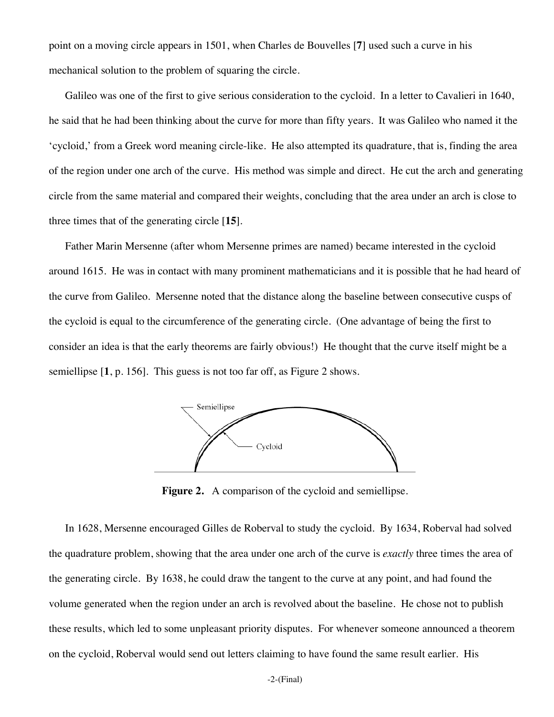point on a moving circle appears in 1501, when Charles de Bouvelles [**7**] used such a curve in his mechanical solution to the problem of squaring the circle.

Galileo was one of the first to give serious consideration to the cycloid. In a letter to Cavalieri in 1640, he said that he had been thinking about the curve for more than fifty years. It was Galileo who named it the 'cycloid,' from a Greek word meaning circle-like. He also attempted its quadrature, that is, finding the area of the region under one arch of the curve. His method was simple and direct. He cut the arch and generating circle from the same material and compared their weights, concluding that the area under an arch is close to three times that of the generating circle [**15**].

Father Marin Mersenne (after whom Mersenne primes are named) became interested in the cycloid around 1615. He was in contact with many prominent mathematicians and it is possible that he had heard of the curve from Galileo. Mersenne noted that the distance along the baseline between consecutive cusps of the cycloid is equal to the circumference of the generating circle. (One advantage of being the first to consider an idea is that the early theorems are fairly obvious!) He thought that the curve itself might be a semiellipse [**1**, p. 156]. This guess is not too far off, as Figure 2 shows.



**Figure 2.** A comparison of the cycloid and semiellipse.

In 1628, Mersenne encouraged Gilles de Roberval to study the cycloid. By 1634, Roberval had solved the quadrature problem, showing that the area under one arch of the curve is *exactly* three times the area of the generating circle. By 1638, he could draw the tangent to the curve at any point, and had found the volume generated when the region under an arch is revolved about the baseline. He chose not to publish these results, which led to some unpleasant priority disputes. For whenever someone announced a theorem on the cycloid, Roberval would send out letters claiming to have found the same result earlier. His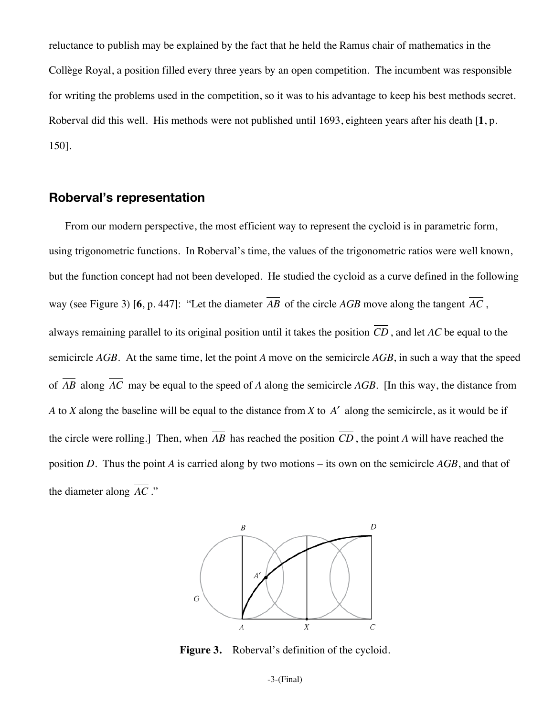reluctance to publish may be explained by the fact that he held the Ramus chair of mathematics in the Collège Royal, a position filled every three years by an open competition. The incumbent was responsible for writing the problems used in the competition, so it was to his advantage to keep his best methods secret. Roberval did this well. His methods were not published until 1693, eighteen years after his death [**1**, p. 150].

#### **Roberval's representation**

From our modern perspective, the most efficient way to represent the cycloid is in parametric form, using trigonometric functions. In Roberval's time, the values of the trigonometric ratios were well known, but the function concept had not been developed. He studied the cycloid as a curve defined in the following way (see Figure 3) [**6**, p. 447]: "Let the diameter *AB* of the circle *AGB* move along the tangent *AC* , always remaining parallel to its original position until it takes the position  $\overline{CD}$ , and let *AC* be equal to the semicircle *AGB*. At the same time, let the point *A* move on the semicircle *AGB*, in such a way that the speed of *AB* along *AC* may be equal to the speed of *A* along the semicircle *AGB*. [In this way, the distance from *A* to *X* along the baseline will be equal to the distance from *X* to *A*! along the semicircle, as it would be if the circle were rolling.] Then, when  $\overline{AB}$  has reached the position  $\overline{CD}$ , the point *A* will have reached the position *D*. Thus the point *A* is carried along by two motions – its own on the semicircle *AGB*, and that of the diameter along  $\overline{AC}$ ."



**Figure 3.** Roberval's definition of the cycloid.

-3-(Final)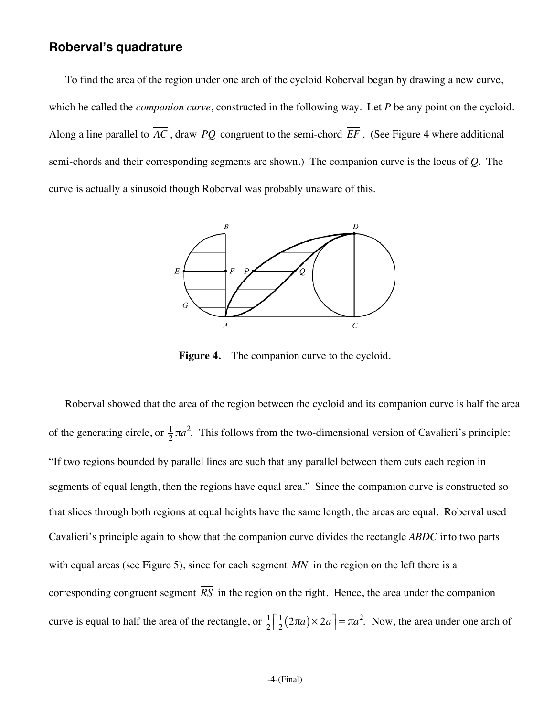# **Roberval's quadrature**

To find the area of the region under one arch of the cycloid Roberval began by drawing a new curve, which he called the *companion curve*, constructed in the following way. Let *P* be any point on the cycloid. Along a line parallel to  $\overline{AC}$ , draw  $\overline{PQ}$  congruent to the semi-chord  $\overline{EF}$ . (See Figure 4 where additional semi-chords and their corresponding segments are shown.) The companion curve is the locus of *Q*. The curve is actually a sinusoid though Roberval was probably unaware of this.



**Figure 4.** The companion curve to the cycloid.

Roberval showed that the area of the region between the cycloid and its companion curve is half the area of the generating circle, or  $\frac{1}{2}\pi a^2$ . This follows from the two-dimensional version of Cavalieri's principle: "If two regions bounded by parallel lines are such that any parallel between them cuts each region in segments of equal length, then the regions have equal area." Since the companion curve is constructed so that slices through both regions at equal heights have the same length, the areas are equal. Roberval used Cavalieri's principle again to show that the companion curve divides the rectangle *ABDC* into two parts with equal areas (see Figure 5), since for each segment  $\overline{MN}$  in the region on the left there is a corresponding congruent segment  $\overline{RS}$  in the region on the right. Hence, the area under the companion curve is equal to half the area of the rectangle, or  $\frac{1}{2}$  $\left[\frac{1}{2}(2\pi a)\times 2a\right] = \pi a^2$ . Now, the area under one arch of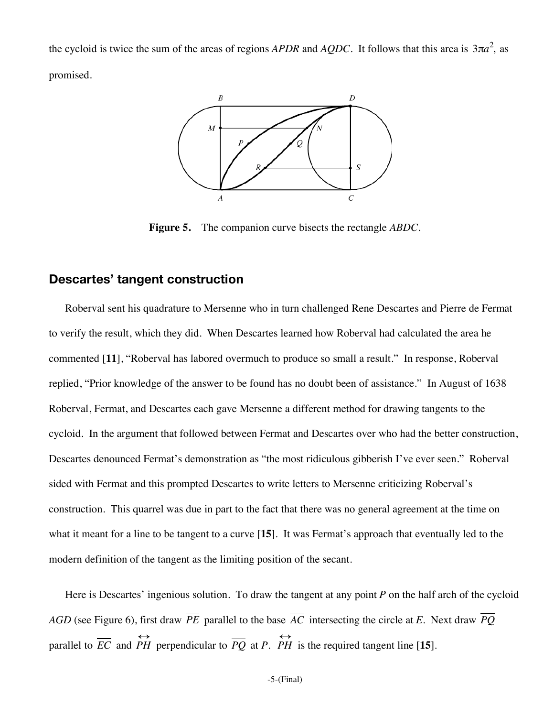the cycloid is twice the sum of the areas of regions *APDR* and *AQDC*. It follows that this area is  $3\pi a^2$ , as promised.



**Figure 5.** The companion curve bisects the rectangle *ABDC.*

### **Descartes' tangent construction**

Roberval sent his quadrature to Mersenne who in turn challenged Rene Descartes and Pierre de Fermat to verify the result, which they did. When Descartes learned how Roberval had calculated the area he commented [**11**], "Roberval has labored overmuch to produce so small a result." In response, Roberval replied, "Prior knowledge of the answer to be found has no doubt been of assistance." In August of 1638 Roberval, Fermat, and Descartes each gave Mersenne a different method for drawing tangents to the cycloid. In the argument that followed between Fermat and Descartes over who had the better construction, Descartes denounced Fermat's demonstration as "the most ridiculous gibberish I've ever seen." Roberval sided with Fermat and this prompted Descartes to write letters to Mersenne criticizing Roberval's construction. This quarrel was due in part to the fact that there was no general agreement at the time on what it meant for a line to be tangent to a curve [**15**]. It was Fermat's approach that eventually led to the modern definition of the tangent as the limiting position of the secant.

Here is Descartes' ingenious solution. To draw the tangent at any point *P* on the half arch of the cycloid *AGD* (see Figure 6), first draw  $\overline{PE}$  parallel to the base  $\overline{AC}$  intersecting the circle at *E*. Next draw  $\overline{PQ}$ parallel to *EC* and *PH*  $\leftrightarrow$ perpendicular to *PQ* at *P*. *PH*  $\leftrightarrow$ is the required tangent line [**15**].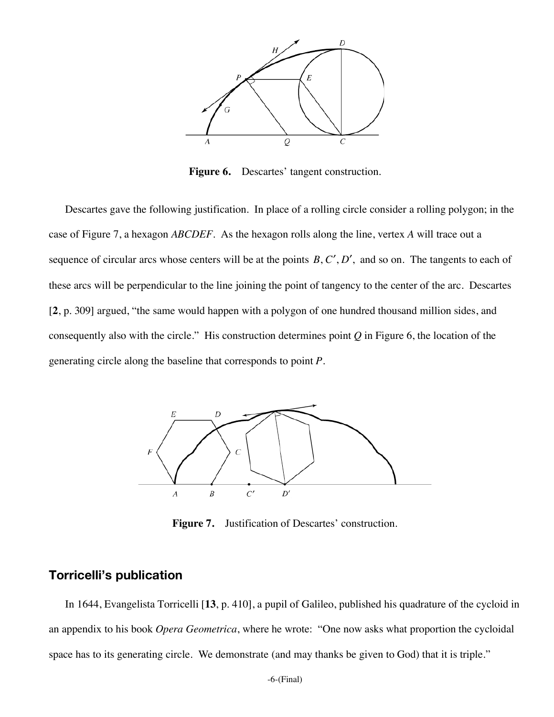

Figure **6.** Descartes' tangent construction.

Descartes gave the following justification. In place of a rolling circle consider a rolling polygon; in the case of Figure 7, a hexagon *ABCDEF*. As the hexagon rolls along the line, vertex *A* will trace out a sequence of circular arcs whose centers will be at the points  $B, C', D'$ , and so on. The tangents to each of these arcs will be perpendicular to the line joining the point of tangency to the center of the arc. Descartes [**2**, p. 309] argued, "the same would happen with a polygon of one hundred thousand million sides, and consequently also with the circle." His construction determines point *Q* in Figure 6, the location of the generating circle along the baseline that corresponds to point *P*.



**Figure 7.** Justification of Descartes' construction.

### **Torricelli's publication**

In 1644, Evangelista Torricelli [**13**, p. 410], a pupil of Galileo, published his quadrature of the cycloid in an appendix to his book *Opera Geometrica*, where he wrote: "One now asks what proportion the cycloidal space has to its generating circle. We demonstrate (and may thanks be given to God) that it is triple."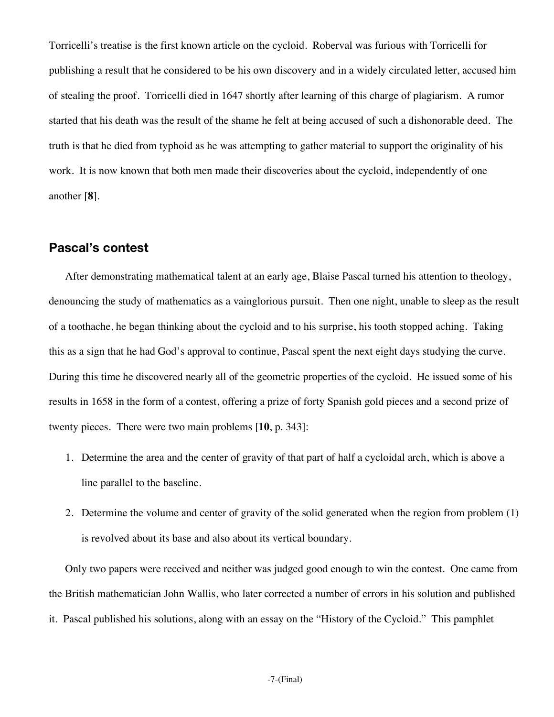Torricelli's treatise is the first known article on the cycloid. Roberval was furious with Torricelli for publishing a result that he considered to be his own discovery and in a widely circulated letter, accused him of stealing the proof. Torricelli died in 1647 shortly after learning of this charge of plagiarism. A rumor started that his death was the result of the shame he felt at being accused of such a dishonorable deed. The truth is that he died from typhoid as he was attempting to gather material to support the originality of his work. It is now known that both men made their discoveries about the cycloid, independently of one another [**8**].

#### **Pascal's contest**

After demonstrating mathematical talent at an early age, Blaise Pascal turned his attention to theology, denouncing the study of mathematics as a vainglorious pursuit. Then one night, unable to sleep as the result of a toothache, he began thinking about the cycloid and to his surprise, his tooth stopped aching. Taking this as a sign that he had God's approval to continue, Pascal spent the next eight days studying the curve. During this time he discovered nearly all of the geometric properties of the cycloid. He issued some of his results in 1658 in the form of a contest, offering a prize of forty Spanish gold pieces and a second prize of twenty pieces. There were two main problems [**10**, p. 343]:

- 1. Determine the area and the center of gravity of that part of half a cycloidal arch, which is above a line parallel to the baseline.
- 2. Determine the volume and center of gravity of the solid generated when the region from problem (1) is revolved about its base and also about its vertical boundary.

Only two papers were received and neither was judged good enough to win the contest. One came from the British mathematician John Wallis, who later corrected a number of errors in his solution and published it. Pascal published his solutions, along with an essay on the "History of the Cycloid." This pamphlet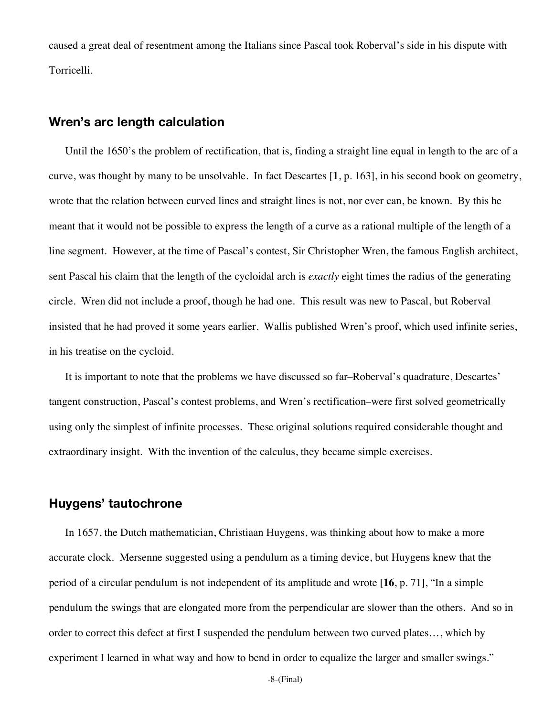caused a great deal of resentment among the Italians since Pascal took Roberval's side in his dispute with Torricelli.

### **Wren's arc length calculation**

Until the 1650's the problem of rectification, that is, finding a straight line equal in length to the arc of a curve, was thought by many to be unsolvable. In fact Descartes [**1**, p. 163], in his second book on geometry, wrote that the relation between curved lines and straight lines is not, nor ever can, be known. By this he meant that it would not be possible to express the length of a curve as a rational multiple of the length of a line segment. However, at the time of Pascal's contest, Sir Christopher Wren, the famous English architect, sent Pascal his claim that the length of the cycloidal arch is *exactly* eight times the radius of the generating circle. Wren did not include a proof, though he had one. This result was new to Pascal, but Roberval insisted that he had proved it some years earlier. Wallis published Wren's proof, which used infinite series, in his treatise on the cycloid.

It is important to note that the problems we have discussed so far–Roberval's quadrature, Descartes' tangent construction, Pascal's contest problems, and Wren's rectification–were first solved geometrically using only the simplest of infinite processes. These original solutions required considerable thought and extraordinary insight. With the invention of the calculus, they became simple exercises.

## **Huygens' tautochrone**

In 1657, the Dutch mathematician, Christiaan Huygens, was thinking about how to make a more accurate clock. Mersenne suggested using a pendulum as a timing device, but Huygens knew that the period of a circular pendulum is not independent of its amplitude and wrote [**16**, p. 71], "In a simple pendulum the swings that are elongated more from the perpendicular are slower than the others. And so in order to correct this defect at first I suspended the pendulum between two curved plates…, which by experiment I learned in what way and how to bend in order to equalize the larger and smaller swings."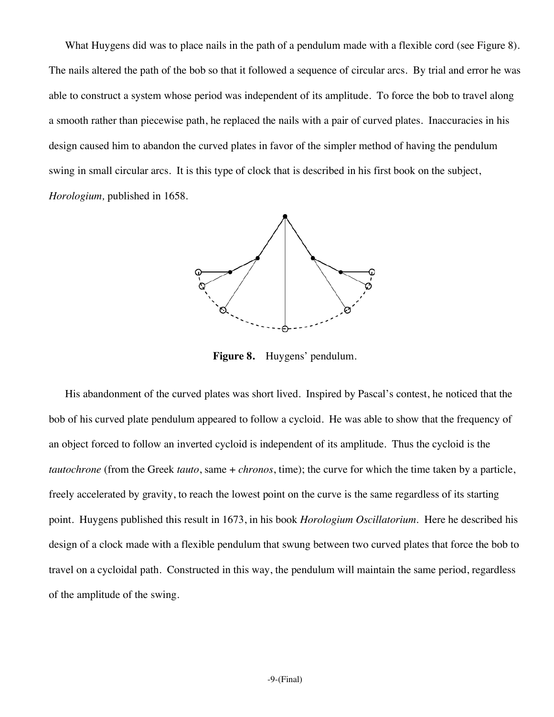What Huygens did was to place nails in the path of a pendulum made with a flexible cord (see Figure 8). The nails altered the path of the bob so that it followed a sequence of circular arcs. By trial and error he was able to construct a system whose period was independent of its amplitude. To force the bob to travel along a smooth rather than piecewise path, he replaced the nails with a pair of curved plates. Inaccuracies in his design caused him to abandon the curved plates in favor of the simpler method of having the pendulum swing in small circular arcs. It is this type of clock that is described in his first book on the subject, *Horologium,* published in 1658.



**Figure 8.** Huygens' pendulum.

His abandonment of the curved plates was short lived. Inspired by Pascal's contest, he noticed that the bob of his curved plate pendulum appeared to follow a cycloid. He was able to show that the frequency of an object forced to follow an inverted cycloid is independent of its amplitude. Thus the cycloid is the *tautochrone* (from the Greek *tauto*, same + *chronos*, time); the curve for which the time taken by a particle, freely accelerated by gravity, to reach the lowest point on the curve is the same regardless of its starting point. Huygens published this result in 1673, in his book *Horologium Oscillatorium*. Here he described his design of a clock made with a flexible pendulum that swung between two curved plates that force the bob to travel on a cycloidal path. Constructed in this way, the pendulum will maintain the same period, regardless of the amplitude of the swing.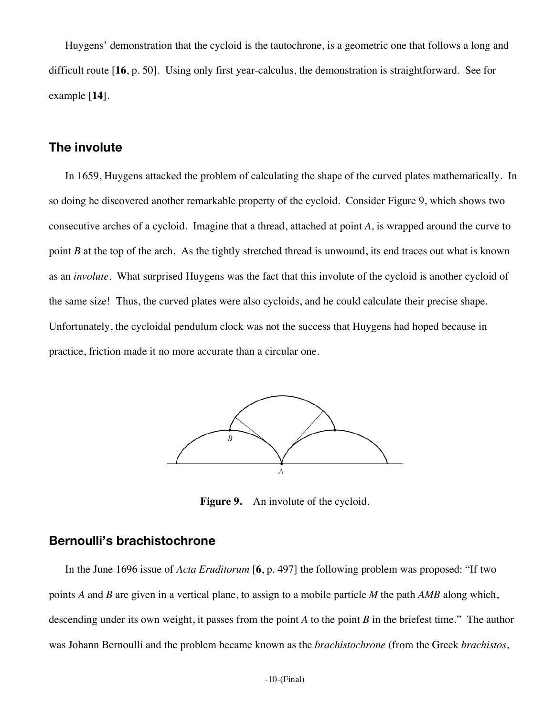Huygens' demonstration that the cycloid is the tautochrone, is a geometric one that follows a long and difficult route [**16**, p. 50]. Using only first year-calculus, the demonstration is straightforward. See for example [**14**].

#### **The involute**

In 1659, Huygens attacked the problem of calculating the shape of the curved plates mathematically. In so doing he discovered another remarkable property of the cycloid. Consider Figure 9, which shows two consecutive arches of a cycloid. Imagine that a thread, attached at point *A*, is wrapped around the curve to point *B* at the top of the arch. As the tightly stretched thread is unwound, its end traces out what is known as an *involute*. What surprised Huygens was the fact that this involute of the cycloid is another cycloid of the same size! Thus, the curved plates were also cycloids, and he could calculate their precise shape. Unfortunately, the cycloidal pendulum clock was not the success that Huygens had hoped because in practice, friction made it no more accurate than a circular one.



**Figure 9.** An involute of the cycloid.

#### **Bernoulli's brachistochrone**

In the June 1696 issue of *Acta Eruditorum* [**6**, p. 497] the following problem was proposed: "If two points *A* and *B* are given in a vertical plane, to assign to a mobile particle *M* the path *AMB* along which, descending under its own weight, it passes from the point *A* to the point *B* in the briefest time." The author was Johann Bernoulli and the problem became known as the *brachistochrone* (from the Greek *brachistos*,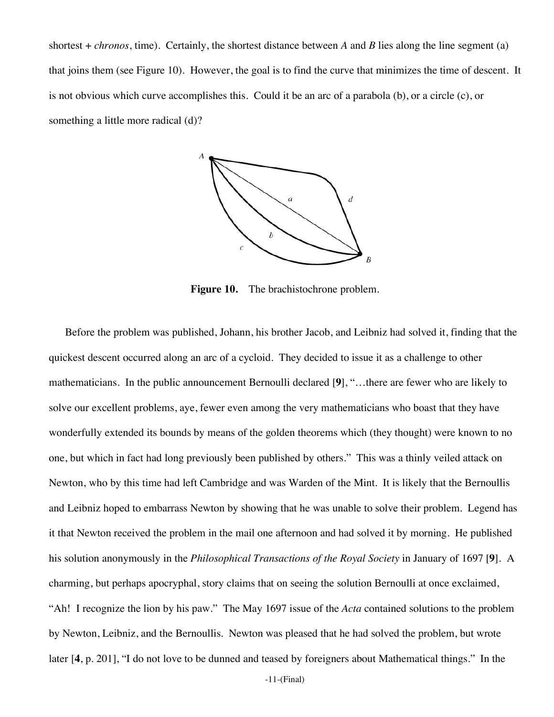shortest + *chronos*, time). Certainly, the shortest distance between *A* and *B* lies along the line segment (a) that joins them (see Figure 10). However, the goal is to find the curve that minimizes the time of descent. It is not obvious which curve accomplishes this. Could it be an arc of a parabola (b), or a circle (c), or something a little more radical (d)?



**Figure 10.** The brachistochrone problem.

Before the problem was published, Johann, his brother Jacob, and Leibniz had solved it, finding that the quickest descent occurred along an arc of a cycloid. They decided to issue it as a challenge to other mathematicians. In the public announcement Bernoulli declared [**9**], "…there are fewer who are likely to solve our excellent problems, aye, fewer even among the very mathematicians who boast that they have wonderfully extended its bounds by means of the golden theorems which (they thought) were known to no one, but which in fact had long previously been published by others." This was a thinly veiled attack on Newton, who by this time had left Cambridge and was Warden of the Mint. It is likely that the Bernoullis and Leibniz hoped to embarrass Newton by showing that he was unable to solve their problem. Legend has it that Newton received the problem in the mail one afternoon and had solved it by morning. He published his solution anonymously in the *Philosophical Transactions of the Royal Society* in January of 1697 [**9**]. A charming, but perhaps apocryphal, story claims that on seeing the solution Bernoulli at once exclaimed, "Ah! I recognize the lion by his paw." The May 1697 issue of the *Acta* contained solutions to the problem by Newton, Leibniz, and the Bernoullis. Newton was pleased that he had solved the problem, but wrote later [**4**, p. 201], "I do not love to be dunned and teased by foreigners about Mathematical things." In the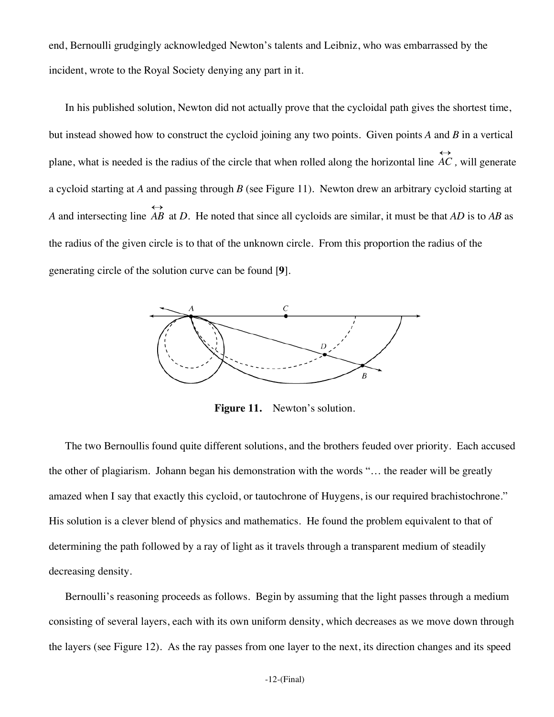end, Bernoulli grudgingly acknowledged Newton's talents and Leibniz, who was embarrassed by the incident, wrote to the Royal Society denying any part in it.

In his published solution, Newton did not actually prove that the cycloidal path gives the shortest time, but instead showed how to construct the cycloid joining any two points. Given points *A* and *B* in a vertical plane, what is needed is the radius of the circle that when rolled along the horizontal line  $\overrightarrow{AC}$ , will generate a cycloid starting at *A* and passing through *B* (see Figure 11). Newton drew an arbitrary cycloid starting at *A* and intersecting line *AB*  $\leftrightarrow$ at *D*. He noted that since all cycloids are similar, it must be that *AD* is to *AB* as the radius of the given circle is to that of the unknown circle. From this proportion the radius of the generating circle of the solution curve can be found [**9**].



**Figure 11.** Newton's solution.

The two Bernoullis found quite different solutions, and the brothers feuded over priority. Each accused the other of plagiarism. Johann began his demonstration with the words "… the reader will be greatly amazed when I say that exactly this cycloid, or tautochrone of Huygens, is our required brachistochrone." His solution is a clever blend of physics and mathematics. He found the problem equivalent to that of determining the path followed by a ray of light as it travels through a transparent medium of steadily decreasing density.

Bernoulli's reasoning proceeds as follows. Begin by assuming that the light passes through a medium consisting of several layers, each with its own uniform density, which decreases as we move down through the layers (see Figure 12). As the ray passes from one layer to the next, its direction changes and its speed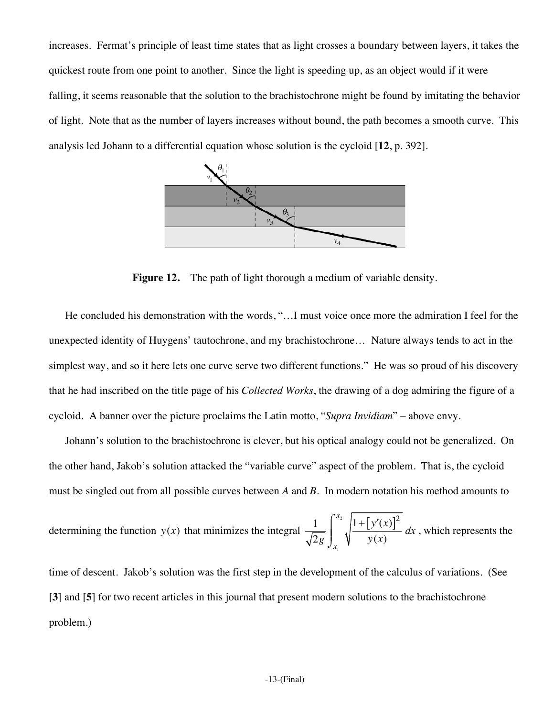increases. Fermat's principle of least time states that as light crosses a boundary between layers, it takes the quickest route from one point to another. Since the light is speeding up, as an object would if it were falling, it seems reasonable that the solution to the brachistochrone might be found by imitating the behavior of light. Note that as the number of layers increases without bound, the path becomes a smooth curve. This analysis led Johann to a differential equation whose solution is the cycloid [**12**, p. 392].



**Figure 12.** The path of light thorough a medium of variable density.

He concluded his demonstration with the words, "…I must voice once more the admiration I feel for the unexpected identity of Huygens' tautochrone, and my brachistochrone… Nature always tends to act in the simplest way, and so it here lets one curve serve two different functions." He was so proud of his discovery that he had inscribed on the title page of his *Collected Works*, the drawing of a dog admiring the figure of a cycloid. A banner over the picture proclaims the Latin motto, "*Supra Invidiam*" – above envy.

Johann's solution to the brachistochrone is clever, but his optical analogy could not be generalized. On the other hand, Jakob's solution attacked the "variable curve" aspect of the problem. That is, the cycloid must be singled out from all possible curves between *A* and *B*. In modern notation his method amounts to

determining the function 
$$
y(x)
$$
 that minimizes the integral  $\frac{1}{\sqrt{2g}} \int_{x_1}^{x_2} \sqrt{\frac{1 + [y'(x)]^2}{y(x)}} dx$ , which represents the

time of descent. Jakob's solution was the first step in the development of the calculus of variations. (See [**3**] and [**5**] for two recent articles in this journal that present modern solutions to the brachistochrone problem.)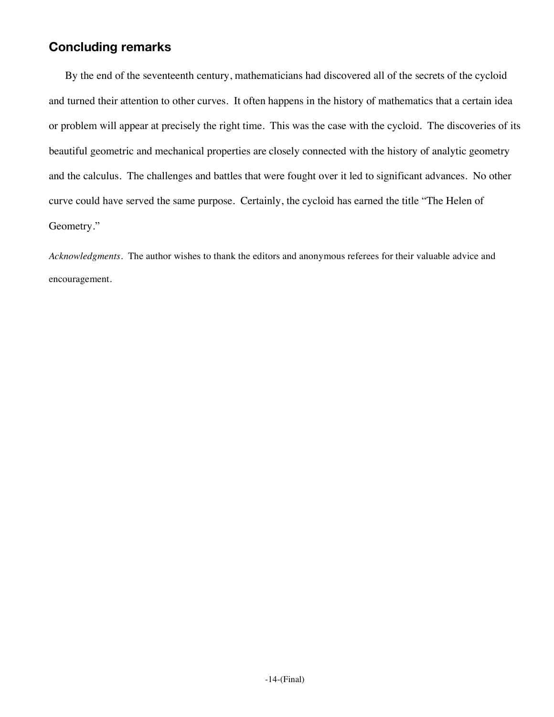# **Concluding remarks**

By the end of the seventeenth century, mathematicians had discovered all of the secrets of the cycloid and turned their attention to other curves. It often happens in the history of mathematics that a certain idea or problem will appear at precisely the right time. This was the case with the cycloid. The discoveries of its beautiful geometric and mechanical properties are closely connected with the history of analytic geometry and the calculus. The challenges and battles that were fought over it led to significant advances. No other curve could have served the same purpose. Certainly, the cycloid has earned the title "The Helen of Geometry."

*Acknowledgments.* The author wishes to thank the editors and anonymous referees for their valuable advice and encouragement.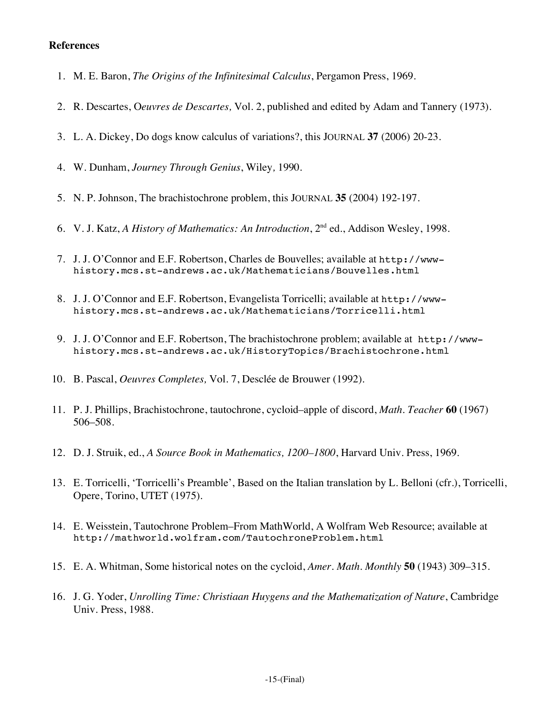#### **References**

- 1. M. E. Baron, *The Origins of the Infinitesimal Calculus*, Pergamon Press, 1969.
- 2. R. Descartes, O*euvres de Descartes,* Vol. 2, published and edited by Adam and Tannery (1973).
- 3. L. A. Dickey, Do dogs know calculus of variations?, this JOURNAL **37** (2006) 20-23.
- 4. W. Dunham, *Journey Through Genius*, Wiley*,* 1990.
- 5. N. P. Johnson, The brachistochrone problem, this JOURNAL **35** (2004) 192-197.
- 6. V. J. Katz, *A History of Mathematics: An Introduction*, 2nd ed., Addison Wesley, 1998.
- 7. J. J. O'Connor and E.F. Robertson, Charles de Bouvelles; available at http://wwwhistory.mcs.st-andrews.ac.uk/Mathematicians/Bouvelles.html
- 8. J. J. O'Connor and E.F. Robertson, Evangelista Torricelli; available at http://wwwhistory.mcs.st-andrews.ac.uk/Mathematicians/Torricelli.html
- 9. J. J. O'Connor and E.F. Robertson, The brachistochrone problem; available at http://wwwhistory.mcs.st-andrews.ac.uk/HistoryTopics/Brachistochrone.html
- 10. B. Pascal, *Oeuvres Completes,* Vol. 7, Desclée de Brouwer (1992).
- 11. P. J. Phillips, Brachistochrone, tautochrone, cycloid–apple of discord, *Math. Teacher* **60** (1967) 506–508.
- 12. D. J. Struik, ed., *A Source Book in Mathematics, 1200–1800*, Harvard Univ. Press, 1969.
- 13. E. Torricelli, 'Torricelli's Preamble', Based on the Italian translation by L. Belloni (cfr.), Torricelli, Opere, Torino, UTET (1975).
- 14. E. Weisstein, Tautochrone Problem–From MathWorld, A Wolfram Web Resource; available at http://mathworld.wolfram.com/TautochroneProblem.html
- 15. E. A. Whitman, Some historical notes on the cycloid, *Amer. Math. Monthly* **50** (1943) 309–315.
- 16. J. G. Yoder, *Unrolling Time: Christiaan Huygens and the Mathematization of Nature*, Cambridge Univ. Press, 1988.